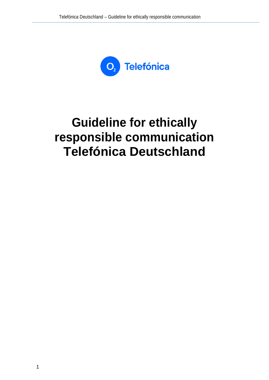

# **Guideline for ethically responsible communication Telefónica Deutschland**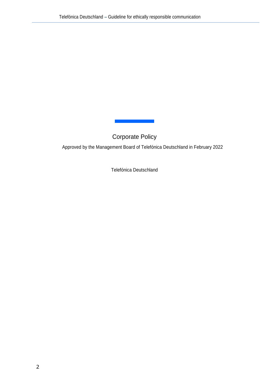Corporate Policy

Approved by the Management Board of Telefónica Deutschland in February 2022

Telefónica Deutschland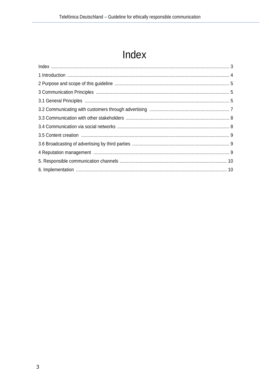## Index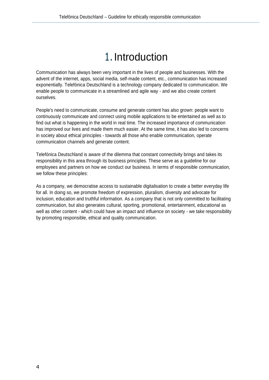### 1.Introduction

Communication has always been very important in the lives of people and businesses. With the advent of the internet, apps, social media, self-made content, etc., communication has increased exponentially. Telefónica Deutschland is a technology company dedicated to communication. We enable people to communicate in a streamlined and agile way - and we also create content ourselves.

People's need to communicate, consume and generate content has also grown: people want to continuously communicate and connect using mobile applications to be entertained as well as to find out what is happening in the world in real time. The increased importance of communication has improved our lives and made them much easier. At the same time, it has also led to concerns in society about ethical principles - towards all those who enable communication, operate communication channels and generate content.

Telefónica Deutschland is aware of the dilemma that constant connectivity brings and takes its responsibility in this area through its business principles. These serve as a guideline for our employees and partners on how we conduct our business. In terms of responsible communication, we follow these principles:

As a company, we democratise access to sustainable digitalisation to create a better everyday life for all. In doing so, we promote freedom of expression, pluralism, diversity and advocate for inclusion, education and truthful information. As a company that is not only committed to facilitating communication, but also generates cultural, sporting, promotional, entertainment, educational as well as other content - which could have an impact and influence on society - we take responsibility by promoting responsible, ethical and quality communication.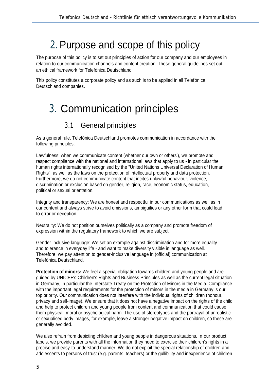### 2.Purpose and scope of this policy

The purpose of this policy is to set out principles of action for our company and our employees in relation to our communication channels and content creation. These general guidelines set out an ethical framework for Telefónica Deutschland.

This policy constitutes a corporate policy and as such is to be applied in all Telefónica Deutschland companies.

### 3. Communication principles

#### 3.1 General principles

As a general rule, Telefónica Deutschland promotes communication in accordance with the following principles:

Lawfulness: when we communicate content (whether our own or others'), we promote and respect compliance with the national and international laws that apply to us - in particular the human rights internationally recognised by the "United Nations Universal Declaration of Human Rights", as well as the laws on the protection of intellectual property and data protection. Furthermore, we do not communicate content that incites unlawful behaviour, violence, discrimination or exclusion based on gender, religion, race, economic status, education, political or sexual orientation.

Integrity and transparency: We are honest and respectful in our communications as well as in our content and always strive to avoid omissions, ambiguities or any other form that could lead to error or deception.

Neutrality: We do not position ourselves politically as a company and promote freedom of expression within the regulatory framework to which we are subject.

Gender-inclusive language: We set an example against discrimination and for more equality and tolerance in everyday life - and want to make diversity visible in language as well. Therefore, we pay attention to gender-inclusive language in (official) communication at Telefónica Deutschland.

**Protection of minors:** We feel a special obligation towards children and young people and are guided by UNICEF's Children's Rights and Business Principles as well as the current legal situation in Germany, in particular the Interstate Treaty on the Protection of Minors in the Media. Compliance with the important legal requirements for the protection of minors in the media in Germany is our top priority. Our communication does not interfere with the individual rights of children (honour, privacy and self-image). We ensure that it does not have a negative impact on the rights of the child and help to protect children and young people from content and communication that could cause them physical, moral or psychological harm. The use of stereotypes and the portrayal of unrealistic or sexualised body images, for example, leave a stronger negative impact on children, so these are generally avoided.

We also refrain from depicting children and young people in dangerous situations. In our product labels, we provide parents with all the information they need to exercise their children's rights in a precise and easy-to-understand manner. We do not exploit the special relationship of children and adolescents to persons of trust (e.g. parents, teachers) or the gullibility and inexperience of children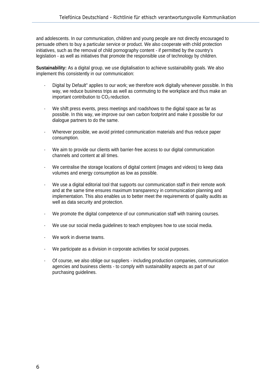and adolescents. In our communication, children and young people are not directly encouraged to persuade others to buy a particular service or product. We also cooperate with child protection initiatives, such as the removal of child pornography content - if permitted by the country's legislation - as well as initiatives that promote the responsible use of technology by children.

**Sustainability:** As a digital group, we use digitalisation to achieve sustainability goals. We also implement this consistently in our communication:

- Digital by Default" applies to our work; we therefore work digitally whenever possible. In this way, we reduce business trips as well as commuting to the workplace and thus make an important contribution to  $CO<sub>2</sub>$  reduction.
- We shift press events, press meetings and roadshows to the digital space as far as possible. In this way, we improve our own carbon footprint and make it possible for our dialogue partners to do the same.
- Wherever possible, we avoid printed communication materials and thus reduce paper consumption.
- We aim to provide our clients with barrier-free access to our digital communication channels and content at all times.
- We centralise the storage locations of digital content (images and videos) to keep data volumes and energy consumption as low as possible.
- We use a digital editorial tool that supports our communication staff in their remote work and at the same time ensures maximum transparency in communication planning and implementation. This also enables us to better meet the requirements of quality audits as well as data security and protection.
- We promote the digital competence of our communication staff with training courses.
- We use our social media guidelines to teach employees how to use social media.
- We work in diverse teams.
- We participate as a division in corporate activities for social purposes.
- Of course, we also oblige our suppliers including production companies, communication agencies and business clients - to comply with sustainability aspects as part of our purchasing guidelines.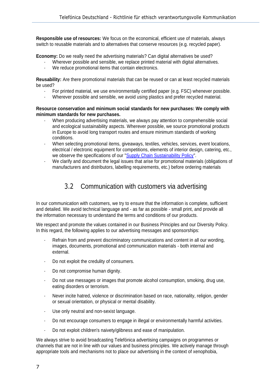**Responsible use of resources:** We focus on the economical, efficient use of materials, always switch to reusable materials and to alternatives that conserve resources (e.g. recycled paper).

**Economy:** Do we really need the advertising materials? Can digital alternatives be used?

- Wherever possible and sensible, we replace printed material with digital alternatives.
- We reduce promotional items that contain electronics.

**Reusability:** Are there promotional materials that can be reused or can at least recycled materials be used?

- For printed material, we use environmentally certified paper (e.g. FSC) whenever possible.
- Wherever possible and sensible, we avoid using plastics and prefer recycled material.

#### **Resource conservation and minimum social standards for new purchases: We comply with minimum standards for new purchases.**

- When producing advertising materials, we always pay attention to comprehensible social and ecological sustainability aspects. Wherever possible, we source promotional products in Europe to avoid long transport routes and ensure minimum standards of working conditions.
- When selecting promotional items, giveaways, textiles, vehicles, services, event locations, electrical / electronic equipment for competitions, elements of interior design, catering, etc., we observe the specifications of our ["Supply Chain Sustainability Policy"](http://www.telefonica.de/supply-chain-sustainability-policy-en).
- We clarify and document the legal issues that arise for promotional materials (obligations of manufacturers and distributors, labelling requirements, etc.) before ordering materials

#### 3.2 Communication with customers via advertising

In our communication with customers, we try to ensure that the information is complete, sufficient and detailed. We avoid technical language and - as far as possible - small print, and provide all the information necessary to understand the terms and conditions of our products.

We respect and promote the values contained in our Business Principles and our Diversity Policy. In this regard, the following applies to our advertising messages and sponsorships:

- Refrain from and prevent discriminatory communications and content in all our wording, images, documents, promotional and communication materials - both internal and external.
- Do not exploit the credulity of consumers.
- Do not compromise human dignity.
- Do not use messages or images that promote alcohol consumption, smoking, drug use, eating disorders or terrorism.
- Never incite hatred, violence or discrimination based on race, nationality, religion, gender or sexual orientation, or physical or mental disability.
- Use only neutral and non-sexist language.
- Do not encourage consumers to engage in illegal or environmentally harmful activities.
- Do not exploit children's naivety/glibness and ease of manipulation.

We always strive to avoid broadcasting Telefónica advertising campaigns on programmes or channels that are not in line with our values and business principles. We actively manage through appropriate tools and mechanisms not to place our advertising in the context of xenophobia,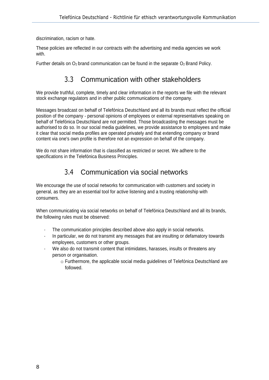discrimination, racism or hate.

These policies are reflected in our contracts with the advertising and media agencies we work with.

Further details on  $O_2$  brand communication can be found in the separate  $O_2$  Brand Policy.

#### 3.3 Communication with other stakeholders

We provide truthful, complete, timely and clear information in the reports we file with the relevant stock exchange regulators and in other public communications of the company.

Messages broadcast on behalf of Telefónica Deutschland and all its brands must reflect the official position of the company - personal opinions of employees or external representatives speaking on behalf of Telefónica Deutschland are not permitted. Those broadcasting the messages must be authorised to do so. In our social media guidelines, we provide assistance to employees and make it clear that social media profiles are operated privately and that extending company or brand content via one's own profile is therefore not an expression on behalf of the company.

We do not share information that is classified as restricted or secret. We adhere to the specifications in the Telefónica Business Principles.

### 3.4 Communication via social networks

We encourage the use of social networks for communication with customers and society in general, as they are an essential tool for active listening and a trusting relationship with consumers.

When communicating via social networks on behalf of Telefónica Deutschland and all its brands, the following rules must be observed:

- The communication principles described above also apply in social networks.
- In particular, we do not transmit any messages that are insulting or defamatory towards employees, customers or other groups.
- We also do not transmit content that intimidates, harasses, insults or threatens any person or organisation.
	- o Furthermore, the applicable social media guidelines of Telefónica Deutschland are followed.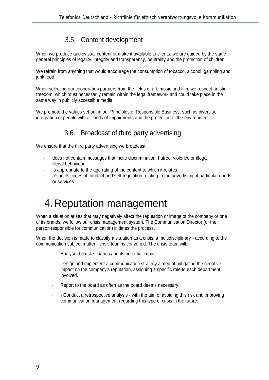#### 3.5. Content development

When we produce audiovisual content or make it available to clients, we are guided by the same general principles of legality, integrity and transparency, neutrality and the protection of children.

We refrain from anything that would encourage the consumption of tobacco, alcohol, gambling and junk food.

When selecting our cooperation partners from the fields of art, music and film, we respect artistic freedom, which must necessarily remain within the legal framework and could take place in the same way in publicly accessible media.

We promote the values set out in our Principles of Responsible Business, such as diversity, integration of people with all kinds of impairments and the protection of the environment.

#### 3.6. Broadcast of third party advertising

We ensure that the third party advertising we broadcast:

- does not contain messages that incite discrimination, hatred, violence or illegal
- illegal behaviour.
- Is appropriate to the age rating of the content to which it relates.
- respects codes of conduct and self-regulation relating to the advertising of particular goods or services.

### 4.Reputation management

When a situation arises that may negatively affect the reputation or image of the company or one of its brands, we follow our crisis management system. The Communication Director (or the person responsible for communication) initiates the process.

When the decision is made to classify a situation as a crisis, a multidisciplinary - according to the communication subject matter - crisis team is convened. The crisis team will:

- Analyse the risk situation and its potential impact.
- Design and implement a communication strategy aimed at mitigating the negative impact on the company's reputation, assigning a specific role to each department involved.
- Report to the board as often as the board deems necessary.
- - Conduct a retrospective analysis with the aim of avoiding this risk and improving communication management regarding this type of crisis in the future.